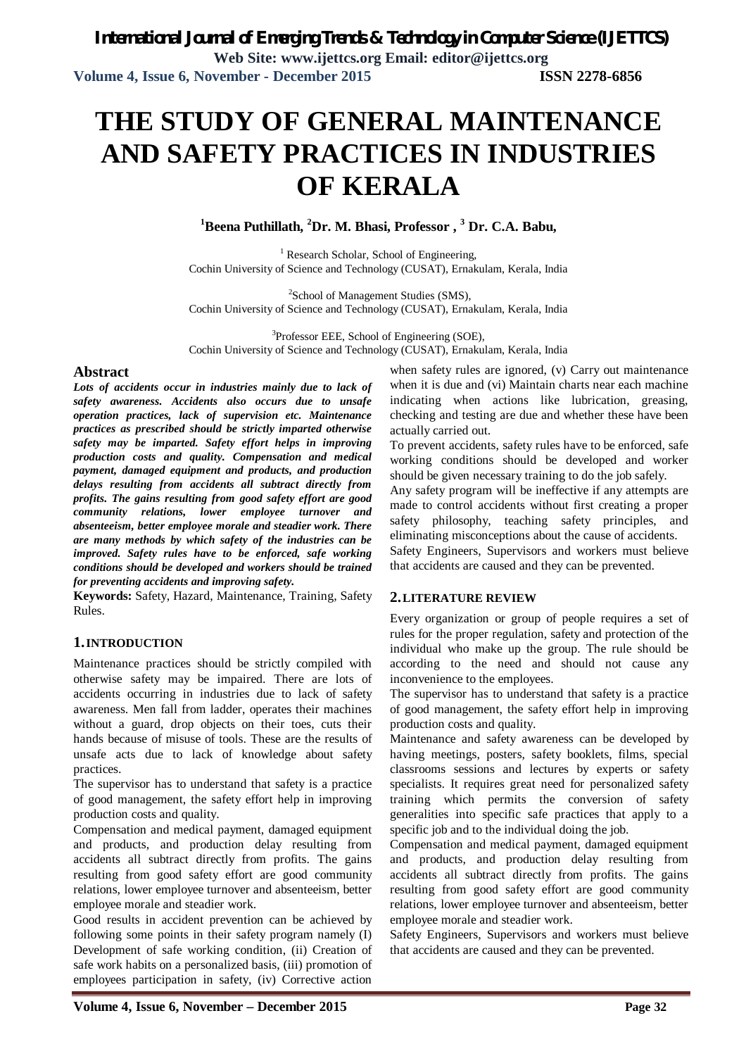# **THE STUDY OF GENERAL MAINTENANCE AND SAFETY PRACTICES IN INDUSTRIES OF KERALA**

**<sup>1</sup>Beena Puthillath, <sup>2</sup>Dr. M. Bhasi, Professor , <sup>3</sup> Dr. C.A. Babu,**

 $<sup>1</sup>$  Research Scholar, School of Engineering,</sup> Cochin University of Science and Technology (CUSAT), Ernakulam, Kerala, India

<sup>2</sup>School of Management Studies (SMS), Cochin University of Science and Technology (CUSAT), Ernakulam, Kerala, India

<sup>3</sup>Professor EEE, School of Engineering (SOE), Cochin University of Science and Technology (CUSAT), Ernakulam, Kerala, India

### **Abstract**

*Lots of accidents occur in industries mainly due to lack of safety awareness. Accidents also occurs due to unsafe operation practices, lack of supervision etc. Maintenance practices as prescribed should be strictly imparted otherwise safety may be imparted. Safety effort helps in improving production costs and quality. Compensation and medical payment, damaged equipment and products, and production delays resulting from accidents all subtract directly from profits. The gains resulting from good safety effort are good community relations, lower employee turnover and absenteeism, better employee morale and steadier work. There are many methods by which safety of the industries can be improved. Safety rules have to be enforced, safe working conditions should be developed and workers should be trained for preventing accidents and improving safety.*

**Keywords:** Safety, Hazard, Maintenance, Training, Safety Rules.

### **1.INTRODUCTION**

Maintenance practices should be strictly compiled with otherwise safety may be impaired. There are lots of accidents occurring in industries due to lack of safety awareness. Men fall from ladder, operates their machines without a guard, drop objects on their toes, cuts their hands because of misuse of tools. These are the results of unsafe acts due to lack of knowledge about safety practices.

The supervisor has to understand that safety is a practice of good management, the safety effort help in improving production costs and quality.

Compensation and medical payment, damaged equipment and products, and production delay resulting from accidents all subtract directly from profits. The gains resulting from good safety effort are good community relations, lower employee turnover and absenteeism, better employee morale and steadier work.

Good results in accident prevention can be achieved by following some points in their safety program namely (I) Development of safe working condition, (ii) Creation of safe work habits on a personalized basis, (iii) promotion of employees participation in safety, (iv) Corrective action

when safety rules are ignored, (v) Carry out maintenance when it is due and (vi) Maintain charts near each machine indicating when actions like lubrication, greasing, checking and testing are due and whether these have been actually carried out.

To prevent accidents, safety rules have to be enforced, safe working conditions should be developed and worker should be given necessary training to do the job safely.

Any safety program will be ineffective if any attempts are made to control accidents without first creating a proper safety philosophy, teaching safety principles, and eliminating misconceptions about the cause of accidents. Safety Engineers, Supervisors and workers must believe that accidents are caused and they can be prevented.

### **2.LITERATURE REVIEW**

Every organization or group of people requires a set of rules for the proper regulation, safety and protection of the individual who make up the group. The rule should be according to the need and should not cause any inconvenience to the employees.

The supervisor has to understand that safety is a practice of good management, the safety effort help in improving production costs and quality.

Maintenance and safety awareness can be developed by having meetings, posters, safety booklets, films, special classrooms sessions and lectures by experts or safety specialists. It requires great need for personalized safety training which permits the conversion of safety generalities into specific safe practices that apply to a specific job and to the individual doing the job.

Compensation and medical payment, damaged equipment and products, and production delay resulting from accidents all subtract directly from profits. The gains resulting from good safety effort are good community relations, lower employee turnover and absenteeism, better employee morale and steadier work.

Safety Engineers, Supervisors and workers must believe that accidents are caused and they can be prevented.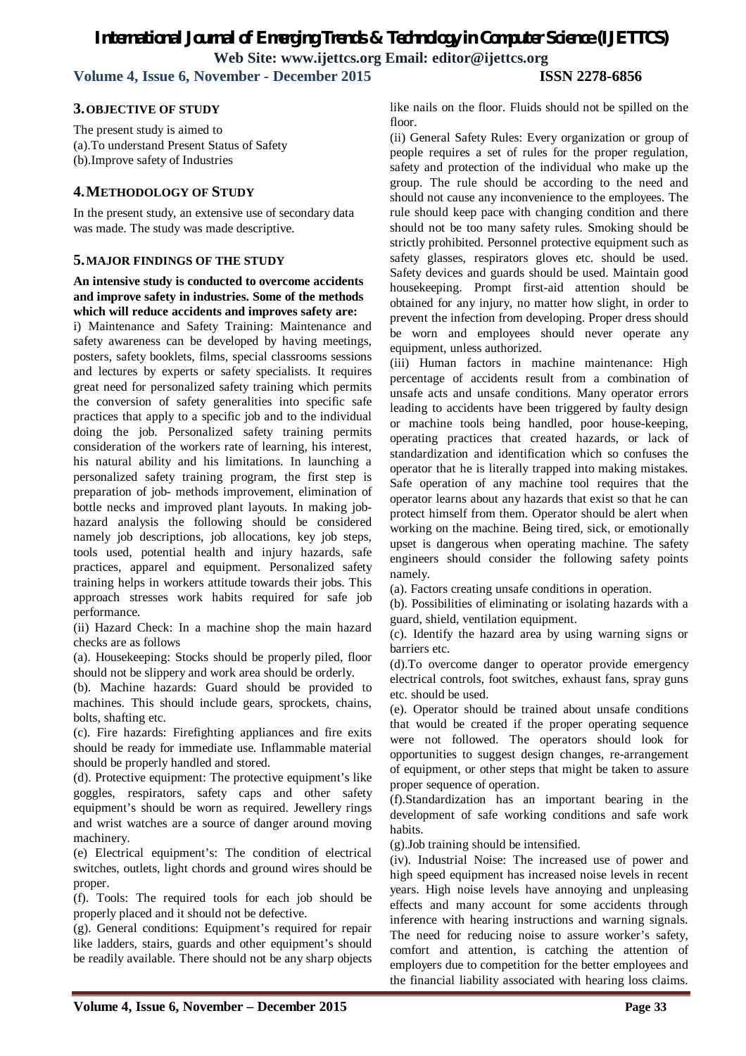### *International Journal of Emerging Trends & Technology in Computer Science (IJETTCS)* **Web Site: www.ijettcs.org Email: editor@ijettcs.org Volume 4, Issue 6, November - December 2015 ISSN 2278-6856**

### **3.OBJECTIVE OF STUDY**

The present study is aimed to (a).To understand Present Status of Safety (b).Improve safety of Industries

### **4.METHODOLOGY OF STUDY**

In the present study, an extensive use of secondary data was made. The study was made descriptive.

### **5.MAJOR FINDINGS OF THE STUDY**

### **An intensive study is conducted to overcome accidents and improve safety in industries. Some of the methods which will reduce accidents and improves safety are:**

i) Maintenance and Safety Training: Maintenance and safety awareness can be developed by having meetings, posters, safety booklets, films, special classrooms sessions and lectures by experts or safety specialists. It requires great need for personalized safety training which permits the conversion of safety generalities into specific safe practices that apply to a specific job and to the individual doing the job. Personalized safety training permits consideration of the workers rate of learning, his interest, his natural ability and his limitations. In launching a personalized safety training program, the first step is preparation of job- methods improvement, elimination of bottle necks and improved plant layouts. In making jobhazard analysis the following should be considered namely job descriptions, job allocations, key job steps, tools used, potential health and injury hazards, safe practices, apparel and equipment. Personalized safety training helps in workers attitude towards their jobs. This approach stresses work habits required for safe job performance.

(ii) Hazard Check: In a machine shop the main hazard checks are as follows

(a). Housekeeping: Stocks should be properly piled, floor should not be slippery and work area should be orderly.

(b). Machine hazards: Guard should be provided to machines. This should include gears, sprockets, chains, bolts, shafting etc.

(c). Fire hazards: Firefighting appliances and fire exits should be ready for immediate use. Inflammable material should be properly handled and stored.

(d). Protective equipment: The protective equipment's like goggles, respirators, safety caps and other safety equipment's should be worn as required. Jewellery rings and wrist watches are a source of danger around moving machinery.

(e) Electrical equipment's: The condition of electrical switches, outlets, light chords and ground wires should be proper.

(f). Tools: The required tools for each job should be properly placed and it should not be defective.

(g). General conditions: Equipment's required for repair like ladders, stairs, guards and other equipment's should be readily available. There should not be any sharp objects like nails on the floor. Fluids should not be spilled on the floor.

(ii) General Safety Rules: Every organization or group of people requires a set of rules for the proper regulation, safety and protection of the individual who make up the group. The rule should be according to the need and should not cause any inconvenience to the employees. The rule should keep pace with changing condition and there should not be too many safety rules. Smoking should be strictly prohibited. Personnel protective equipment such as safety glasses, respirators gloves etc. should be used. Safety devices and guards should be used. Maintain good housekeeping. Prompt first-aid attention should be obtained for any injury, no matter how slight, in order to prevent the infection from developing. Proper dress should be worn and employees should never operate any equipment, unless authorized.

(iii) Human factors in machine maintenance: High percentage of accidents result from a combination of unsafe acts and unsafe conditions. Many operator errors leading to accidents have been triggered by faulty design or machine tools being handled, poor house-keeping, operating practices that created hazards, or lack of standardization and identification which so confuses the operator that he is literally trapped into making mistakes. Safe operation of any machine tool requires that the operator learns about any hazards that exist so that he can protect himself from them. Operator should be alert when working on the machine. Being tired, sick, or emotionally upset is dangerous when operating machine. The safety engineers should consider the following safety points namely.

(a). Factors creating unsafe conditions in operation.

(b). Possibilities of eliminating or isolating hazards with a guard, shield, ventilation equipment.

(c). Identify the hazard area by using warning signs or barriers etc.

(d).To overcome danger to operator provide emergency electrical controls, foot switches, exhaust fans, spray guns etc. should be used.

(e). Operator should be trained about unsafe conditions that would be created if the proper operating sequence were not followed. The operators should look for opportunities to suggest design changes, re-arrangement of equipment, or other steps that might be taken to assure proper sequence of operation.

(f).Standardization has an important bearing in the development of safe working conditions and safe work habits.

(g).Job training should be intensified.

(iv). Industrial Noise: The increased use of power and high speed equipment has increased noise levels in recent years. High noise levels have annoying and unpleasing effects and many account for some accidents through inference with hearing instructions and warning signals. The need for reducing noise to assure worker's safety, comfort and attention, is catching the attention of employers due to competition for the better employees and the financial liability associated with hearing loss claims.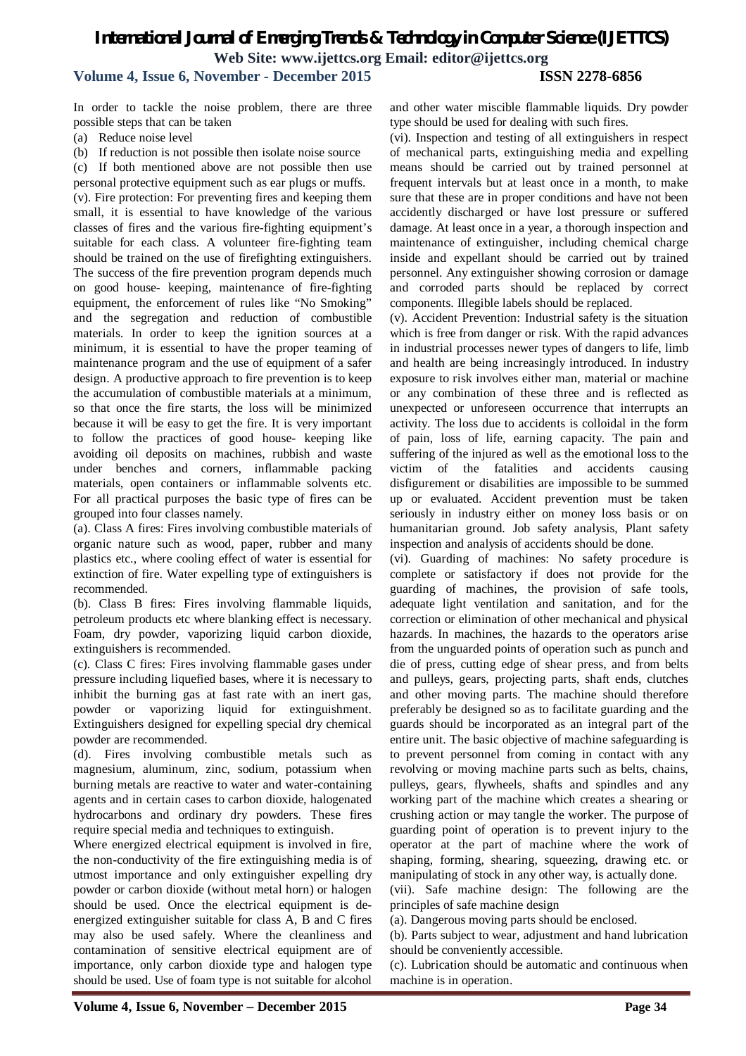### *International Journal of Emerging Trends & Technology in Computer Science (IJETTCS)* **Web Site: www.ijettcs.org Email: editor@ijettcs.org Volume 4, Issue 6, November - December 2015 ISSN 2278-6856**

In order to tackle the noise problem, there are three possible steps that can be taken

(a) Reduce noise level

(b) If reduction is not possible then isolate noise source

(c) If both mentioned above are not possible then use

personal protective equipment such as ear plugs or muffs. (v). Fire protection: For preventing fires and keeping them small, it is essential to have knowledge of the various classes of fires and the various fire-fighting equipment's suitable for each class. A volunteer fire-fighting team should be trained on the use of firefighting extinguishers. The success of the fire prevention program depends much on good house- keeping, maintenance of fire-fighting equipment, the enforcement of rules like "No Smoking" and the segregation and reduction of combustible materials. In order to keep the ignition sources at a minimum, it is essential to have the proper teaming of maintenance program and the use of equipment of a safer design. A productive approach to fire prevention is to keep the accumulation of combustible materials at a minimum, so that once the fire starts, the loss will be minimized because it will be easy to get the fire. It is very important to follow the practices of good house- keeping like avoiding oil deposits on machines, rubbish and waste under benches and corners, inflammable packing materials, open containers or inflammable solvents etc. For all practical purposes the basic type of fires can be grouped into four classes namely.

(a). Class A fires: Fires involving combustible materials of organic nature such as wood, paper, rubber and many plastics etc., where cooling effect of water is essential for extinction of fire. Water expelling type of extinguishers is recommended.

(b). Class B fires: Fires involving flammable liquids, petroleum products etc where blanking effect is necessary. Foam, dry powder, vaporizing liquid carbon dioxide, extinguishers is recommended.

(c). Class C fires: Fires involving flammable gases under pressure including liquefied bases, where it is necessary to inhibit the burning gas at fast rate with an inert gas, powder or vaporizing liquid for extinguishment. Extinguishers designed for expelling special dry chemical powder are recommended.

(d). Fires involving combustible metals such as magnesium, aluminum, zinc, sodium, potassium when burning metals are reactive to water and water-containing agents and in certain cases to carbon dioxide, halogenated hydrocarbons and ordinary dry powders. These fires require special media and techniques to extinguish.

Where energized electrical equipment is involved in fire, the non-conductivity of the fire extinguishing media is of utmost importance and only extinguisher expelling dry powder or carbon dioxide (without metal horn) or halogen should be used. Once the electrical equipment is deenergized extinguisher suitable for class A, B and C fires may also be used safely. Where the cleanliness and contamination of sensitive electrical equipment are of importance, only carbon dioxide type and halogen type should be used. Use of foam type is not suitable for alcohol and other water miscible flammable liquids. Dry powder type should be used for dealing with such fires.

(vi). Inspection and testing of all extinguishers in respect of mechanical parts, extinguishing media and expelling means should be carried out by trained personnel at frequent intervals but at least once in a month, to make sure that these are in proper conditions and have not been accidently discharged or have lost pressure or suffered damage. At least once in a year, a thorough inspection and maintenance of extinguisher, including chemical charge inside and expellant should be carried out by trained personnel. Any extinguisher showing corrosion or damage and corroded parts should be replaced by correct components. Illegible labels should be replaced.

(v). Accident Prevention: Industrial safety is the situation which is free from danger or risk. With the rapid advances in industrial processes newer types of dangers to life, limb and health are being increasingly introduced. In industry exposure to risk involves either man, material or machine or any combination of these three and is reflected as unexpected or unforeseen occurrence that interrupts an activity. The loss due to accidents is colloidal in the form of pain, loss of life, earning capacity. The pain and suffering of the injured as well as the emotional loss to the victim of the fatalities and accidents causing disfigurement or disabilities are impossible to be summed up or evaluated. Accident prevention must be taken seriously in industry either on money loss basis or on humanitarian ground. Job safety analysis, Plant safety inspection and analysis of accidents should be done.

(vi). Guarding of machines: No safety procedure is complete or satisfactory if does not provide for the guarding of machines, the provision of safe tools, adequate light ventilation and sanitation, and for the correction or elimination of other mechanical and physical hazards. In machines, the hazards to the operators arise from the unguarded points of operation such as punch and die of press, cutting edge of shear press, and from belts and pulleys, gears, projecting parts, shaft ends, clutches and other moving parts. The machine should therefore preferably be designed so as to facilitate guarding and the guards should be incorporated as an integral part of the entire unit. The basic objective of machine safeguarding is to prevent personnel from coming in contact with any revolving or moving machine parts such as belts, chains, pulleys, gears, flywheels, shafts and spindles and any working part of the machine which creates a shearing or crushing action or may tangle the worker. The purpose of guarding point of operation is to prevent injury to the operator at the part of machine where the work of shaping, forming, shearing, squeezing, drawing etc. or manipulating of stock in any other way, is actually done.

(vii). Safe machine design: The following are the principles of safe machine design

(a). Dangerous moving parts should be enclosed.

(b). Parts subject to wear, adjustment and hand lubrication should be conveniently accessible.

(c). Lubrication should be automatic and continuous when machine is in operation.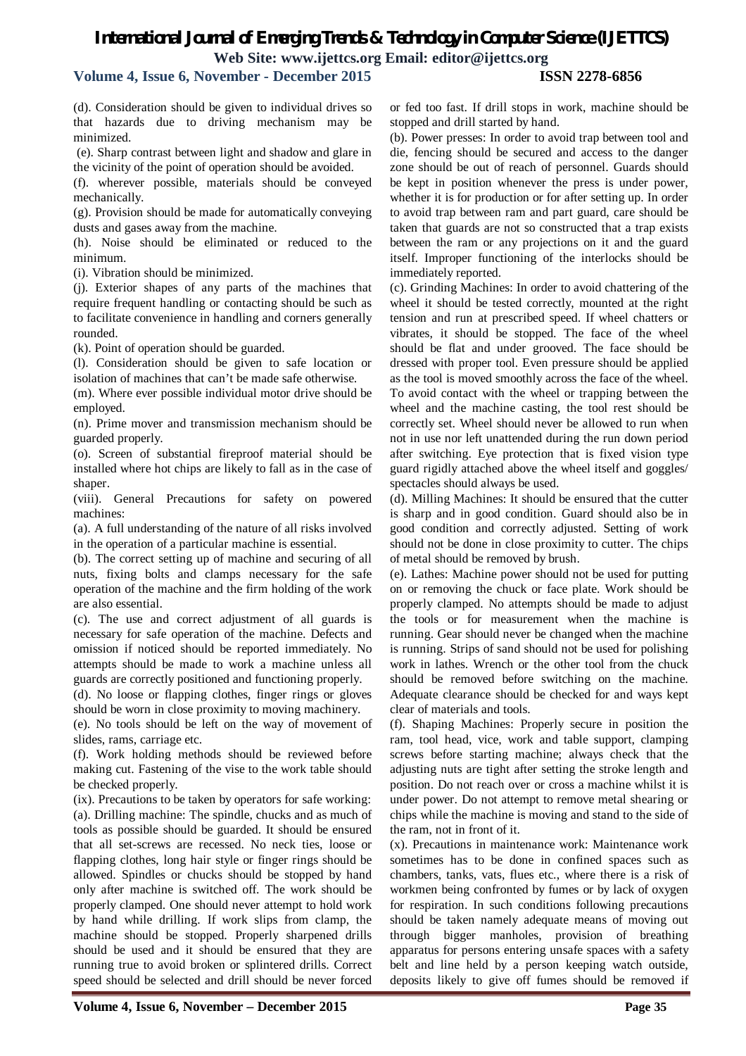### **Volume 4, Issue 6, November - December 2015 ISSN 2278-6856**

(d). Consideration should be given to individual drives so that hazards due to driving mechanism may be minimized.

(e). Sharp contrast between light and shadow and glare in the vicinity of the point of operation should be avoided.

(f). wherever possible, materials should be conveyed mechanically.

(g). Provision should be made for automatically conveying dusts and gases away from the machine.

(h). Noise should be eliminated or reduced to the minimum.

(i). Vibration should be minimized.

(j). Exterior shapes of any parts of the machines that require frequent handling or contacting should be such as to facilitate convenience in handling and corners generally rounded.

(k). Point of operation should be guarded.

(l). Consideration should be given to safe location or isolation of machines that can't be made safe otherwise.

(m). Where ever possible individual motor drive should be employed.

(n). Prime mover and transmission mechanism should be guarded properly.

(o). Screen of substantial fireproof material should be installed where hot chips are likely to fall as in the case of shaper.

(viii). General Precautions for safety on powered machines:

(a). A full understanding of the nature of all risks involved in the operation of a particular machine is essential.

(b). The correct setting up of machine and securing of all nuts, fixing bolts and clamps necessary for the safe operation of the machine and the firm holding of the work are also essential.

(c). The use and correct adjustment of all guards is necessary for safe operation of the machine. Defects and omission if noticed should be reported immediately. No attempts should be made to work a machine unless all guards are correctly positioned and functioning properly.

(d). No loose or flapping clothes, finger rings or gloves should be worn in close proximity to moving machinery.

(e). No tools should be left on the way of movement of slides, rams, carriage etc.

(f). Work holding methods should be reviewed before making cut. Fastening of the vise to the work table should be checked properly.

(ix). Precautions to be taken by operators for safe working: (a). Drilling machine: The spindle, chucks and as much of tools as possible should be guarded. It should be ensured that all set-screws are recessed. No neck ties, loose or flapping clothes, long hair style or finger rings should be allowed. Spindles or chucks should be stopped by hand only after machine is switched off. The work should be properly clamped. One should never attempt to hold work by hand while drilling. If work slips from clamp, the machine should be stopped. Properly sharpened drills should be used and it should be ensured that they are running true to avoid broken or splintered drills. Correct speed should be selected and drill should be never forced or fed too fast. If drill stops in work, machine should be stopped and drill started by hand.

(b). Power presses: In order to avoid trap between tool and die, fencing should be secured and access to the danger zone should be out of reach of personnel. Guards should be kept in position whenever the press is under power, whether it is for production or for after setting up. In order to avoid trap between ram and part guard, care should be taken that guards are not so constructed that a trap exists between the ram or any projections on it and the guard itself. Improper functioning of the interlocks should be immediately reported.

(c). Grinding Machines: In order to avoid chattering of the wheel it should be tested correctly, mounted at the right tension and run at prescribed speed. If wheel chatters or vibrates, it should be stopped. The face of the wheel should be flat and under grooved. The face should be dressed with proper tool. Even pressure should be applied as the tool is moved smoothly across the face of the wheel. To avoid contact with the wheel or trapping between the wheel and the machine casting, the tool rest should be correctly set. Wheel should never be allowed to run when not in use nor left unattended during the run down period after switching. Eye protection that is fixed vision type guard rigidly attached above the wheel itself and goggles/ spectacles should always be used.

(d). Milling Machines: It should be ensured that the cutter is sharp and in good condition. Guard should also be in good condition and correctly adjusted. Setting of work should not be done in close proximity to cutter. The chips of metal should be removed by brush.

(e). Lathes: Machine power should not be used for putting on or removing the chuck or face plate. Work should be properly clamped. No attempts should be made to adjust the tools or for measurement when the machine is running. Gear should never be changed when the machine is running. Strips of sand should not be used for polishing work in lathes. Wrench or the other tool from the chuck should be removed before switching on the machine. Adequate clearance should be checked for and ways kept clear of materials and tools.

(f). Shaping Machines: Properly secure in position the ram, tool head, vice, work and table support, clamping screws before starting machine; always check that the adjusting nuts are tight after setting the stroke length and position. Do not reach over or cross a machine whilst it is under power. Do not attempt to remove metal shearing or chips while the machine is moving and stand to the side of the ram, not in front of it.

(x). Precautions in maintenance work: Maintenance work sometimes has to be done in confined spaces such as chambers, tanks, vats, flues etc., where there is a risk of workmen being confronted by fumes or by lack of oxygen for respiration. In such conditions following precautions should be taken namely adequate means of moving out through bigger manholes, provision of breathing apparatus for persons entering unsafe spaces with a safety belt and line held by a person keeping watch outside, deposits likely to give off fumes should be removed if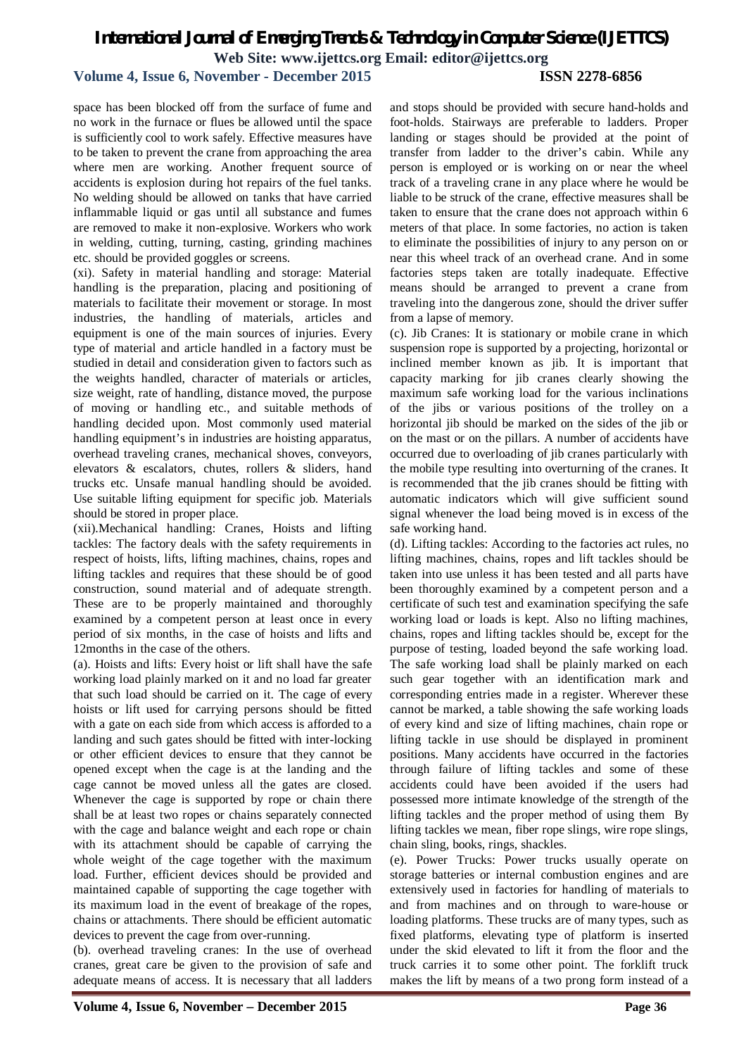### **Volume 4, Issue 6, November - December 2015 ISSN 2278-6856**

space has been blocked off from the surface of fume and no work in the furnace or flues be allowed until the space is sufficiently cool to work safely. Effective measures have to be taken to prevent the crane from approaching the area where men are working. Another frequent source of accidents is explosion during hot repairs of the fuel tanks. No welding should be allowed on tanks that have carried inflammable liquid or gas until all substance and fumes are removed to make it non-explosive. Workers who work in welding, cutting, turning, casting, grinding machines etc. should be provided goggles or screens.

(xi). Safety in material handling and storage: Material handling is the preparation, placing and positioning of materials to facilitate their movement or storage. In most industries, the handling of materials, articles and equipment is one of the main sources of injuries. Every type of material and article handled in a factory must be studied in detail and consideration given to factors such as the weights handled, character of materials or articles, size weight, rate of handling, distance moved, the purpose of moving or handling etc., and suitable methods of handling decided upon. Most commonly used material handling equipment's in industries are hoisting apparatus, overhead traveling cranes, mechanical shoves, conveyors, elevators & escalators, chutes, rollers & sliders, hand trucks etc. Unsafe manual handling should be avoided. Use suitable lifting equipment for specific job. Materials should be stored in proper place.

(xii).Mechanical handling: Cranes, Hoists and lifting tackles: The factory deals with the safety requirements in respect of hoists, lifts, lifting machines, chains, ropes and lifting tackles and requires that these should be of good construction, sound material and of adequate strength. These are to be properly maintained and thoroughly examined by a competent person at least once in every period of six months, in the case of hoists and lifts and 12months in the case of the others.

(a). Hoists and lifts: Every hoist or lift shall have the safe working load plainly marked on it and no load far greater that such load should be carried on it. The cage of every hoists or lift used for carrying persons should be fitted with a gate on each side from which access is afforded to a landing and such gates should be fitted with inter-locking or other efficient devices to ensure that they cannot be opened except when the cage is at the landing and the cage cannot be moved unless all the gates are closed. Whenever the cage is supported by rope or chain there shall be at least two ropes or chains separately connected with the cage and balance weight and each rope or chain with its attachment should be capable of carrying the whole weight of the cage together with the maximum load. Further, efficient devices should be provided and maintained capable of supporting the cage together with its maximum load in the event of breakage of the ropes, chains or attachments. There should be efficient automatic devices to prevent the cage from over-running.

(b). overhead traveling cranes: In the use of overhead cranes, great care be given to the provision of safe and adequate means of access. It is necessary that all ladders

and stops should be provided with secure hand-holds and foot-holds. Stairways are preferable to ladders. Proper landing or stages should be provided at the point of transfer from ladder to the driver's cabin. While any person is employed or is working on or near the wheel track of a traveling crane in any place where he would be liable to be struck of the crane, effective measures shall be taken to ensure that the crane does not approach within 6 meters of that place. In some factories, no action is taken to eliminate the possibilities of injury to any person on or near this wheel track of an overhead crane. And in some factories steps taken are totally inadequate. Effective means should be arranged to prevent a crane from traveling into the dangerous zone, should the driver suffer from a lapse of memory.

(c). Jib Cranes: It is stationary or mobile crane in which suspension rope is supported by a projecting, horizontal or inclined member known as jib. It is important that capacity marking for jib cranes clearly showing the maximum safe working load for the various inclinations of the jibs or various positions of the trolley on a horizontal jib should be marked on the sides of the jib or on the mast or on the pillars. A number of accidents have occurred due to overloading of jib cranes particularly with the mobile type resulting into overturning of the cranes. It is recommended that the jib cranes should be fitting with automatic indicators which will give sufficient sound signal whenever the load being moved is in excess of the safe working hand.

(d). Lifting tackles: According to the factories act rules, no lifting machines, chains, ropes and lift tackles should be taken into use unless it has been tested and all parts have been thoroughly examined by a competent person and a certificate of such test and examination specifying the safe working load or loads is kept. Also no lifting machines, chains, ropes and lifting tackles should be, except for the purpose of testing, loaded beyond the safe working load. The safe working load shall be plainly marked on each such gear together with an identification mark and corresponding entries made in a register. Wherever these cannot be marked, a table showing the safe working loads of every kind and size of lifting machines, chain rope or lifting tackle in use should be displayed in prominent positions. Many accidents have occurred in the factories through failure of lifting tackles and some of these accidents could have been avoided if the users had possessed more intimate knowledge of the strength of the lifting tackles and the proper method of using them By lifting tackles we mean, fiber rope slings, wire rope slings, chain sling, books, rings, shackles.

(e). Power Trucks: Power trucks usually operate on storage batteries or internal combustion engines and are extensively used in factories for handling of materials to and from machines and on through to ware-house or loading platforms. These trucks are of many types, such as fixed platforms, elevating type of platform is inserted under the skid elevated to lift it from the floor and the truck carries it to some other point. The forklift truck makes the lift by means of a two prong form instead of a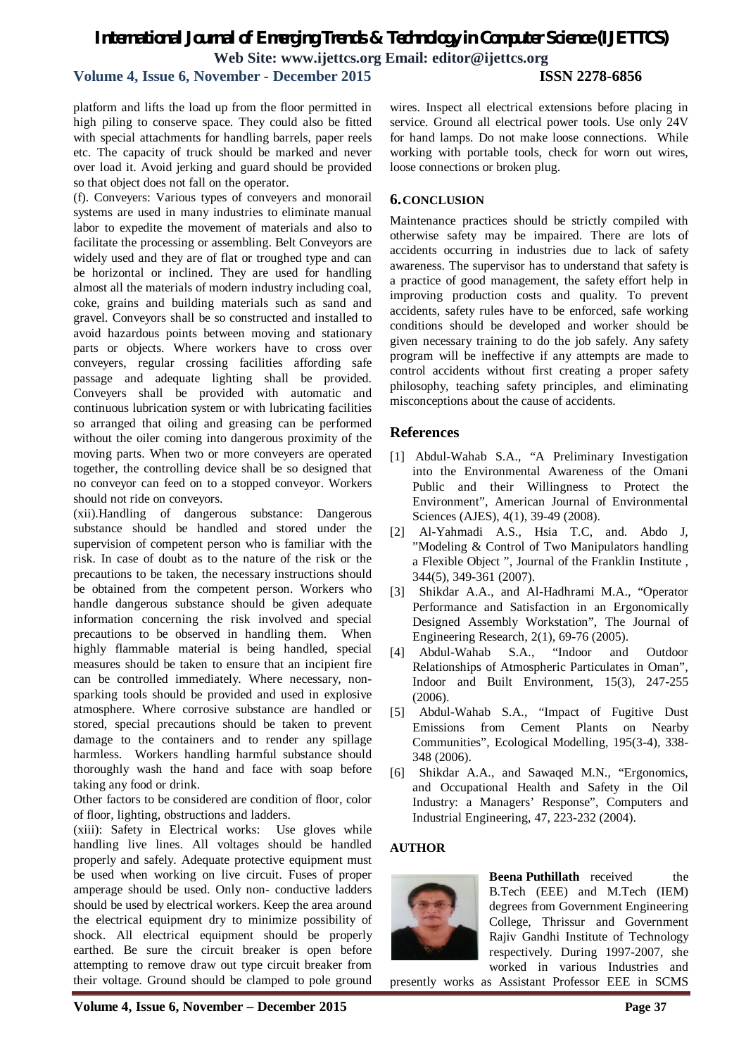### **Volume 4, Issue 6, November - December 2015 ISSN 2278-6856**

platform and lifts the load up from the floor permitted in high piling to conserve space. They could also be fitted with special attachments for handling barrels, paper reels etc. The capacity of truck should be marked and never over load it. Avoid jerking and guard should be provided so that object does not fall on the operator.

(f). Conveyers: Various types of conveyers and monorail systems are used in many industries to eliminate manual labor to expedite the movement of materials and also to facilitate the processing or assembling. Belt Conveyors are widely used and they are of flat or troughed type and can be horizontal or inclined. They are used for handling almost all the materials of modern industry including coal, coke, grains and building materials such as sand and gravel. Conveyors shall be so constructed and installed to avoid hazardous points between moving and stationary parts or objects. Where workers have to cross over conveyers, regular crossing facilities affording safe passage and adequate lighting shall be provided. Conveyers shall be provided with automatic and continuous lubrication system or with lubricating facilities so arranged that oiling and greasing can be performed without the oiler coming into dangerous proximity of the moving parts. When two or more conveyers are operated together, the controlling device shall be so designed that no conveyor can feed on to a stopped conveyor. Workers should not ride on conveyors.

(xii).Handling of dangerous substance: Dangerous substance should be handled and stored under the supervision of competent person who is familiar with the risk. In case of doubt as to the nature of the risk or the precautions to be taken, the necessary instructions should be obtained from the competent person. Workers who handle dangerous substance should be given adequate information concerning the risk involved and special precautions to be observed in handling them. When highly flammable material is being handled, special measures should be taken to ensure that an incipient fire can be controlled immediately. Where necessary, nonsparking tools should be provided and used in explosive atmosphere. Where corrosive substance are handled or stored, special precautions should be taken to prevent damage to the containers and to render any spillage harmless. Workers handling harmful substance should thoroughly wash the hand and face with soap before taking any food or drink.

Other factors to be considered are condition of floor, color of floor, lighting, obstructions and ladders.

(xiii): Safety in Electrical works: Use gloves while handling live lines. All voltages should be handled properly and safely. Adequate protective equipment must be used when working on live circuit. Fuses of proper amperage should be used. Only non- conductive ladders should be used by electrical workers. Keep the area around the electrical equipment dry to minimize possibility of shock. All electrical equipment should be properly earthed. Be sure the circuit breaker is open before attempting to remove draw out type circuit breaker from their voltage. Ground should be clamped to pole ground

wires. Inspect all electrical extensions before placing in service. Ground all electrical power tools. Use only 24V for hand lamps. Do not make loose connections. While working with portable tools, check for worn out wires, loose connections or broken plug.

### **6.CONCLUSION**

Maintenance practices should be strictly compiled with otherwise safety may be impaired. There are lots of accidents occurring in industries due to lack of safety awareness. The supervisor has to understand that safety is a practice of good management, the safety effort help in improving production costs and quality. To prevent accidents, safety rules have to be enforced, safe working conditions should be developed and worker should be given necessary training to do the job safely. Any safety program will be ineffective if any attempts are made to control accidents without first creating a proper safety philosophy, teaching safety principles, and eliminating misconceptions about the cause of accidents.

### **References**

- [1] Abdul-Wahab S.A., "A Preliminary Investigation into the Environmental Awareness of the Omani Public and their Willingness to Protect the Environment", American Journal of Environmental Sciences (AJES), 4(1), 39-49 (2008).
- [2] Al-Yahmadi A.S., Hsia T.C, and. Abdo J, "Modeling & Control of Two Manipulators handling a Flexible Object ", Journal of the Franklin Institute , 344(5), 349-361 (2007).
- [3] Shikdar A.A., and Al-Hadhrami M.A., "Operator Performance and Satisfaction in an Ergonomically Designed Assembly Workstation", The Journal of Engineering Research, 2(1), 69-76 (2005).
- [4] Abdul-Wahab S.A., "Indoor and Outdoor Relationships of Atmospheric Particulates in Oman", Indoor and Built Environment, 15(3), 247-255 (2006).
- [5] Abdul-Wahab S.A., "Impact of Fugitive Dust Emissions from Cement Plants on Nearby Communities", Ecological Modelling, 195(3-4), 338- 348 (2006).
- [6] Shikdar A.A., and Sawaqed M.N., "Ergonomics, and Occupational Health and Safety in the Oil Industry: a Managers' Response", Computers and Industrial Engineering, 47, 223-232 (2004).

### **AUTHOR**



**Beena Puthillath** received the B.Tech (EEE) and M.Tech (IEM) degrees from Government Engineering College, Thrissur and Government Rajiv Gandhi Institute of Technology respectively. During 1997-2007, she worked in various Industries and

presently works as Assistant Professor EEE in SCMS